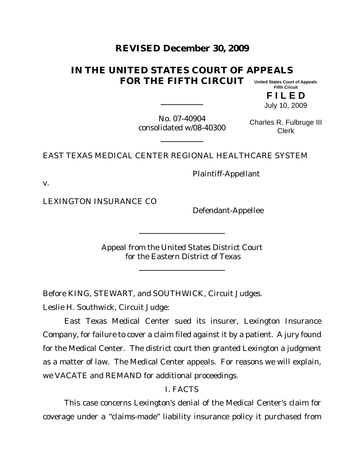# **REVISED December 30, 2009**

#### **IN THE UNITED STATES COURT OF APPEALS FOR THE FIFTH CIRCUIT United States Court of Appeals Fifth Circuit**

**F I L E D** July 10, 2009

No. 07-40904 consolidated w/08-40300

Charles R. Fulbruge III Clerk

## EAST TEXAS MEDICAL CENTER REGIONAL HEALTHCARE SYSTEM

v.

LEXINGTON INSURANCE CO

Defendant-Appellee

Plaintiff-Appellant

Appeal from the United States District Court for the Eastern District of Texas

Before KING, STEWART, and SOUTHWICK, Circuit Judges.

Leslie H. Southwick, Circuit Judge:

East Texas Medical Center sued its insurer, Lexington Insurance Company, for failure to cover a claim filed against it by a patient. A jury found for the Medical Center. The district court then granted Lexington a judgment as a matter of law. The Medical Center appeals. For reasons we will explain, we VACATE and REMAND for additional proceedings.

## I. FACTS

This case concerns Lexington's denial of the Medical Center's claim for coverage under a "claims-made" liability insurance policy it purchased from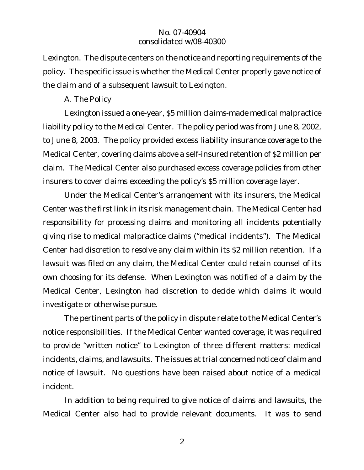Lexington. The dispute centers on the notice and reporting requirements of the policy. The specific issue is whether the Medical Center properly gave notice of the claim and of a subsequent lawsuit to Lexington.

## *A. The Policy*

Lexington issued a one-year, \$5 million claims-made medical malpractice liability policy to the Medical Center. The policy period was from June 8, 2002, to June 8, 2003. The policy provided excess liability insurance coverage to the Medical Center, covering claims above a self-insured retention of \$2 million per claim. The Medical Center also purchased excess coverage policies from other insurers to cover claims exceeding the policy's \$5 million coverage layer.

Under the Medical Center's arrangement with its insurers, the Medical Center was the first link in its risk management chain. The Medical Center had responsibility for processing claims and monitoring all incidents potentially giving rise to medical malpractice claims ("medical incidents"). The Medical Center had discretion to resolve any claim within its \$2 million retention. If a lawsuit was filed on any claim, the Medical Center could retain counsel of its own choosing for its defense. When Lexington was notified of a claim by the Medical Center, Lexington had discretion to decide which claims it would investigate or otherwise pursue.

The pertinent parts of the policy in dispute relate to the Medical Center's notice responsibilities. If the Medical Center wanted coverage, it was required to provide "written notice" to Lexington of three different matters: medical incidents, claims, and lawsuits. The issues at trial concerned notice of claim and notice of lawsuit. No questions have been raised about notice of a medical incident.

In addition to being required to give notice of claims and lawsuits, the Medical Center also had to provide relevant documents. It was to send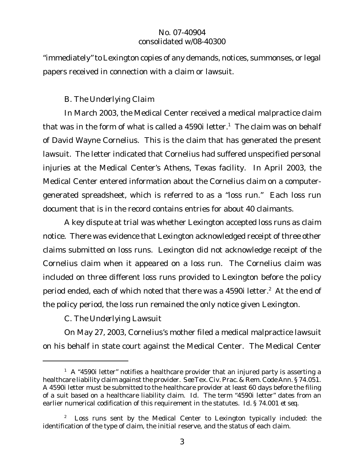"immediately"to Lexington copies of any demands, notices, summonses, or legal papers received in connection with a claim or lawsuit.

## *B. The Underlying Claim*

In March 2003, the Medical Center received a medical malpractice claim that was in the form of what is called a 4590i letter.<sup>1</sup> The claim was on behalf of David Wayne Cornelius. This is the claim that has generated the present lawsuit. The letter indicated that Cornelius had suffered unspecified personal injuries at the Medical Center's Athens, Texas facility. In April 2003, the Medical Center entered information about the Cornelius claim on a computergenerated spreadsheet, which is referred to as a "loss run." Each loss run document that is in the record contains entries for about 40 claimants.

A key dispute at trial was whether Lexington accepted loss runs as claim notice. There was evidence that Lexington acknowledged receipt of three other claims submitted on loss runs. Lexington did not acknowledge receipt of the Cornelius claim when it appeared on a loss run. The Cornelius claim was included on three different loss runs provided to Lexington before the policy period ended, each of which noted that there was a 4590i letter.<sup>2</sup> At the end of the policy period, the loss run remained the only notice given Lexington.

*C. The Underlying Lawsuit*

On May 27, 2003, Cornelius's mother filed a medical malpractice lawsuit on his behalf in state court against the Medical Center. The Medical Center

 $1$  A  $*$ 4590i letter" notifies a healthcare provider that an injured party is asserting a healthcare liability claim against the provider. *See*Tex. Civ. Prac. & Rem. Code Ann. § 74.051. A 4590i letter must be submitted to the healthcare provider at least 60 days before the filing of a suit based on a healthcare liability claim. *Id.* The term "4590i letter" dates from an earlier numerical codification of this requirement in the statutes. *Id.* § 74.001 *et seq*.

<sup>&</sup>lt;sup>2</sup> Loss runs sent by the Medical Center to Lexington typically included: the identification of the type of claim, the initial reserve, and the status of each claim.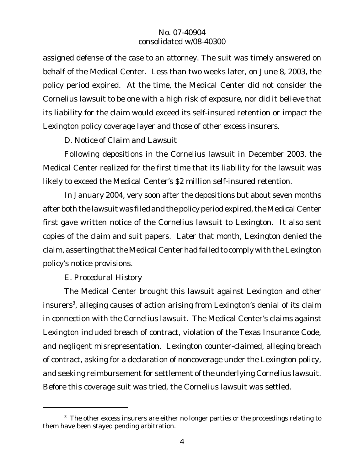assigned defense of the case to an attorney. The suit was timely answered on behalf of the Medical Center. Less than two weeks later, on June 8, 2003, the policy period expired. At the time, the Medical Center did not consider the Cornelius lawsuit to be one with a high risk of exposure, nor did it believe that its liability for the claim would exceed its self-insured retention or impact the Lexington policy coverage layer and those of other excess insurers.

*D. Notice of Claim and Lawsuit*

Following depositions in the Cornelius lawsuit in December 2003, the Medical Center realized for the first time that its liability for the lawsuit was likely to exceed the Medical Center's \$2 million self-insured retention.

In January 2004, very soon after the depositions but about seven months after both the lawsuit was filed and the policy period expired, the Medical Center first gave written notice of the Cornelius lawsuit to Lexington. It also sent copies of the claim and suit papers. Later that month, Lexington denied the claim, asserting that the Medical Center had failed to comply with the Lexington policy's notice provisions.

*E. Procedural History*

The Medical Center brought this lawsuit against Lexington and other insurers<sup>3</sup>, alleging causes of action arising from Lexington's denial of its claim in connection with the Cornelius lawsuit. The Medical Center's claims against Lexington included breach of contract, violation of the Texas Insurance Code, and negligent misrepresentation. Lexington counter-claimed, alleging breach of contract, asking for a declaration of noncoverage under the Lexington policy, and seeking reimbursement for settlement of the underlying Cornelius lawsuit. Before this coverage suit was tried, the Cornelius lawsuit was settled.

 $3$  The other excess insurers are either no longer parties or the proceedings relating to them have been stayed pending arbitration.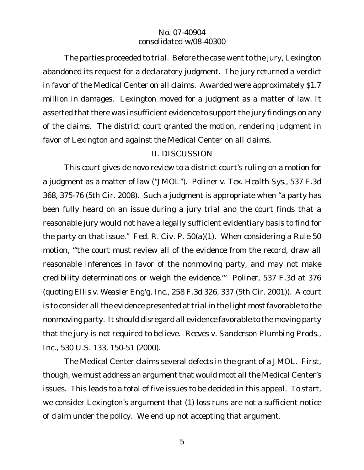The parties proceeded to trial. Before the case went to the jury, Lexington abandoned its request for a declaratory judgment. The jury returned a verdict in favor of the Medical Center on all claims. Awarded were approximately \$1.7 million in damages. Lexington moved for a judgment as a matter of law. It asserted that there was insufficient evidence to support the jury findings on any of the claims. The district court granted the motion, rendering judgment in favor of Lexington and against the Medical Center on all claims.

## II. DISCUSSION

This court gives *de novo* review to a district court's ruling on a motion for a judgment as a matter of law ("JMOL"). *Poliner v. Tex. Health Sys.*, 537 F.3d 368, 375-76 (5th Cir. 2008). Such a judgment is appropriate when "a party has been fully heard on an issue during a jury trial and the court finds that a reasonable jury would not have a legally sufficient evidentiary basis to find for the party on that issue." Fed. R. Civ. P. 50(a)(1). When considering a Rule 50 motion, "'the court must review all of the evidence from the record, draw all reasonable inferences in favor of the nonmoving party, and may not make credibility determinations or weigh the evidence.'" *Poliner*, 537 F.3d at 376 (quoting *Ellis v. Weasler Eng'g, Inc.*, 258 F.3d 326, 337 (5th Cir. 2001)). A court is to consider all the evidence presented at trial in the light most favorable to the nonmoving party. It should disregard all evidence favorable to the moving party that the jury is not required to believe. *Reeves v. Sanderson Plumbing Prods., Inc.*, 530 U.S. 133, 150-51 (2000).

The Medical Center claims several defects in the grant of a JMOL. First, though, we must address an argument that would moot all the Medical Center's issues. This leads to a total of five issues to be decided in this appeal. To start, we consider Lexington's argument that (1) loss runs are not a sufficient notice of claim under the policy. We end up not accepting that argument.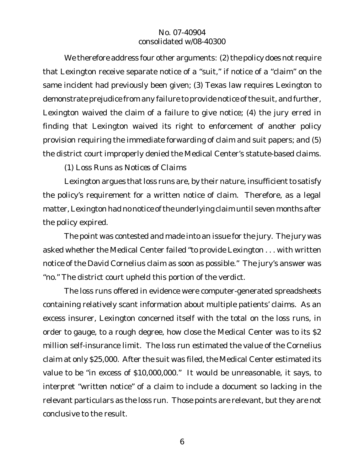We therefore address four other arguments: (2) the policy does not require that Lexington receive separate notice of a "suit," if notice of a "claim" on the same incident had previously been given; (3) Texas law requires Lexington to demonstrate prejudice from any failure to provide notice of the suit, and further, Lexington waived the claim of a failure to give notice; (4) the jury erred in finding that Lexington waived its right to enforcement of another policy provision requiring the immediate forwarding of claim and suit papers; and (5) the district court improperly denied the Medical Center's statute-based claims.

*(1) Loss Runs as Notices of Claims*

Lexington argues that loss runs are, by their nature, insufficient to satisfy the policy's requirement for a written notice of claim. Therefore, as a legal matter,Lexington had no notice of the underlying claim until seven months after the policy expired.

The point was contested and made into an issue for the jury. The jury was asked whether the Medical Center failed "to provide Lexington . . . with written notice of the David Cornelius claim as soon as possible." The jury's answer was "no." The district court upheld this portion of the verdict.

The loss runs offered in evidence were computer-generated spreadsheets containing relatively scant information about multiple patients' claims. As an excess insurer, Lexington concerned itself with the total on the loss runs, in order to gauge, to a rough degree, how close the Medical Center was to its \$2 million self-insurance limit. The loss run estimated the value of the Cornelius claim at only \$25,000. After the suit was filed, the Medical Center estimated its value to be "in excess of \$10,000,000." It would be unreasonable, it says, to interpret "written notice" of a claim to include a document so lacking in the relevant particulars as the loss run. Those points are relevant, but they are not conclusive to the result.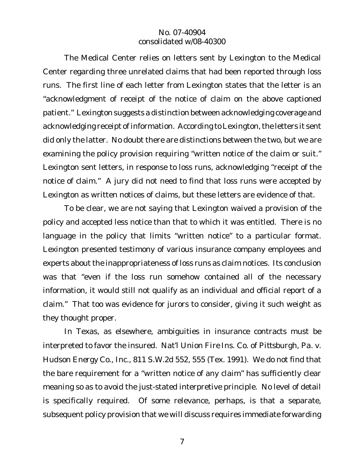The Medical Center relies on letters sent by Lexington to the Medical Center regarding three unrelated claims that had been reported through loss runs. The first line of each letter from Lexington states that the letter is an "acknowledgment of receipt of the notice of claim on the above captioned patient." Lexington suggests a distinction between acknowledging coverage and acknowledging receipt of information. According to Lexington, the letters it sent did only the latter. No doubt there are distinctions between the two, but we are examining the policy provision requiring "written notice of the claim or suit." Lexington sent letters, in response to loss runs, acknowledging "receipt of the notice of claim." A jury did not need to find that loss runs were accepted by Lexington as written notices of claims, but these letters are evidence of that.

To be clear, we are not saying that Lexington waived a provision of the policy and accepted less notice than that to which it was entitled. There is no language in the policy that limits "written notice" to a particular format. Lexington presented testimony of various insurance company employees and experts about the inappropriateness of loss runs as claim notices. Its conclusion was that "even if the loss run somehow contained all of the necessary information, it would still not qualify as an individual and official report of a claim." That too was evidence for jurors to consider, giving it such weight as they thought proper.

In Texas, as elsewhere, ambiguities in insurance contracts must be interpreted to favor the insured. *Nat'l Union Fire Ins. Co. of Pittsburgh, Pa. v. Hudson Energy Co., Inc.*, 811 S.W.2d 552, 555 (Tex. 1991). We do not find that the bare requirement for a "written notice of any claim" has sufficiently clear meaning so as to avoid the just-stated interpretive principle. No level of detail is specifically required. Of some relevance, perhaps, is that a separate, subsequent policy provision that we will discuss requires immediate forwarding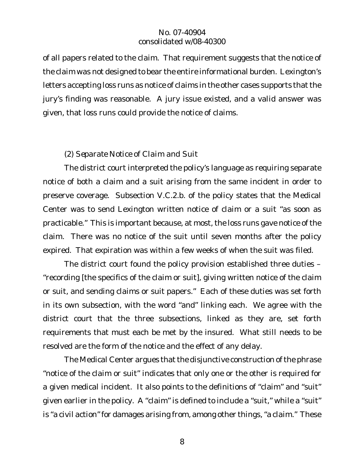of all papers related to the claim. That requirement suggests that the notice of the claim was not designed to bear the entire informational burden. Lexington's letters accepting loss runs as notice of claims in the other cases supports that the jury's finding was reasonable. A jury issue existed, and a valid answer was given, that loss runs could provide the notice of claims.

## *(2) Separate Notice of Claim and Suit*

The district court interpreted the policy's language as requiring separate notice of both a claim and a suit arising from the same incident in order to preserve coverage. Subsection V.C.2.b. of the policy states that the Medical Center was to send Lexington written notice of claim or a suit "as soon as practicable." This is important because, at most, the loss runs gave notice of the claim. There was no notice of the suit until seven months after the policy expired. That expiration was within a few weeks of when the suit was filed.

The district court found the policy provision established three duties – "recording [the specifics of the claim or suit], giving written notice of the claim or suit, and sending claims or suit papers." Each of these duties was set forth in its own subsection, with the word "and" linking each. We agree with the district court that the three subsections, linked as they are, set forth requirements that must each be met by the insured. What still needs to be resolved are the form of the notice and the effect of any delay.

The Medical Center argues that the disjunctive construction of the phrase "notice of the claim or suit" indicates that only one or the other is required for a given medical incident. It also points to the definitions of "claim" and "suit" given earlier in the policy. A "claim" is defined to include a "suit," while a "suit" is "a civil action" for damages arising from, among other things, "a claim." These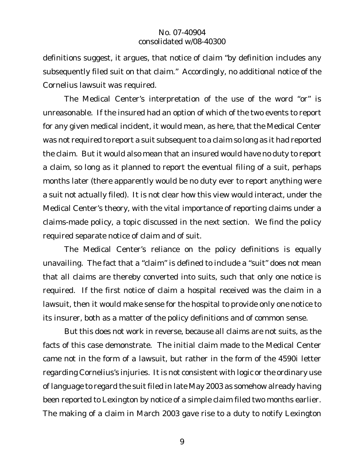definitions suggest, it argues, that notice of claim "by definition includes any subsequently filed suit on that claim." Accordingly, no additional notice of the Cornelius lawsuit was required.

The Medical Center's interpretation of the use of the word "or" is unreasonable. If the insured had an option of which of the two events to report for any given medical incident, it would mean, as here, that the Medical Center was not required to report a suit subsequent to a claim so long as it had reported the claim. But it would also mean that an insured would have no duty to report a claim, so long as it planned to report the eventual filing of a suit, perhaps months later (there apparently would be no duty ever to report anything were a suit not actually filed). It is not clear how this view would interact, under the Medical Center's theory, with the vital importance of reporting claims under a claims-made policy, a topic discussed in the next section. We find the policy required separate notice of claim and of suit.

The Medical Center's reliance on the policy definitions is equally unavailing. The fact that a "claim" is defined to include a "suit" does not mean that all claims are thereby converted into suits, such that only one notice is required. If the first notice of claim a hospital received was the claim in a lawsuit, then it would make sense for the hospital to provide only one notice to its insurer, both as a matter of the policy definitions and of common sense.

But this does not work in reverse, because all claims are not suits, as the facts of this case demonstrate. The initial claim made to the Medical Center came not in the form of a lawsuit, but rather in the form of the 4590i letter regarding Cornelius's injuries. It is not consistent with logic or the ordinary use of language to regard the suit filed in late May 2003 as somehow already having been reported to Lexington by notice of a simple claim filed two months earlier. The making of a claim in March 2003 gave rise to a duty to notify Lexington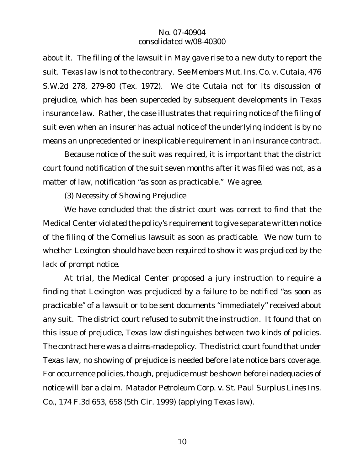about it. The filing of the lawsuit in May gave rise to a new duty to report the suit. Texas law is not to the contrary. *See Members Mut. Ins. Co. v. Cutaia*, 476 S.W.2d 278, 279-80 (Tex. 1972). We cite *Cutaia* not for its discussion of prejudice, which has been superceded by subsequent developments in Texas insurance law. Rather, the case illustrates that requiring notice of the filing of suit even when an insurer has actual notice of the underlying incident is by no means an unprecedented or inexplicable requirement in an insurance contract.

Because notice of the suit was required, it is important that the district court found notification of the suit seven months after it was filed was not, as a matter of law, notification "as soon as practicable." We agree.

*(3) Necessity of Showing Prejudice*

We have concluded that the district court was correct to find that the Medical Center violated the policy's requirement to give separate written notice of the filing of the Cornelius lawsuit as soon as practicable. We now turn to whether Lexington should have been required to show it was prejudiced by the lack of prompt notice.

At trial, the Medical Center proposed a jury instruction to require a finding that Lexington was prejudiced by a failure to be notified "as soon as practicable" of a lawsuit or to be sent documents "immediately" received about any suit. The district court refused to submit the instruction. It found that on this issue of prejudice, Texas law distinguishes between two kinds of policies. The contract here was a claims-made policy. The district court found that under Texas law, no showing of prejudice is needed before late notice bars coverage. For occurrence policies, though, prejudice must be shown before inadequacies of notice will bar a claim. *Matador Petroleum Corp. v. St. Paul Surplus Lines Ins. Co.*, 174 F.3d 653, 658 (5th Cir. 1999) (applying Texas law).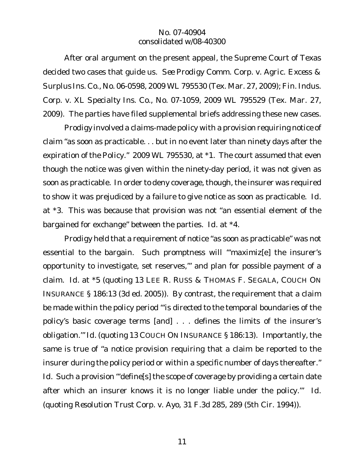After oral argument on the present appeal, the Supreme Court of Texas decided two cases that guide us. *See Prodigy Comm. Corp. v. Agric. Excess & Surplus Ins. Co.*, No. 06-0598, 2009 WL 795530 (Tex. Mar. 27, 2009); *Fin. Indus. Corp. v. XL Specialty Ins. Co.*, No. 07-1059, 2009 WL 795529 (Tex. Mar. 27, 2009). The parties have filed supplemental briefs addressing these new cases.

*Prodigy* involved a claims-made policy with a provision requiring notice of claim "as soon as practicable. . . but in no event later than ninety days after the expiration of the Policy." 2009 WL 795530, at \*1. The court assumed that even though the notice was given within the ninety-day period, it was not given as soon as practicable. In order to deny coverage, though, the insurer was required to show it was prejudiced by a failure to give notice as soon as practicable. *Id*. at \*3. This was because that provision was not "an essential element of the bargained for exchange" between the parties. *Id*. at \*4.

*Prodigy* held that a requirement of notice "as soon as practicable" was not essential to the bargain. Such promptness will "'maximiz[e] the insurer's opportunity to investigate, set reserves,'" and plan for possible payment of a claim. *Id*. at \*5 (quoting 13 LEE R. RUSS & THOMAS F. SEGALA, COUCH ON INSURANCE § 186:13 (3d ed. 2005)). By contrast, the requirement that a claim be made within the policy period "'is directed to the temporal boundaries of the policy's basic coverage terms [and] . . . defines the limits of the insurer's obligation.'" *Id*. (quoting 13 COUCH ON INSURANCE § 186:13). Importantly, the same is true of "a notice provision requiring that a claim be reported to the insurer during the policy period or within a specific number of days thereafter." Id. Such a provision "'define<sup>[s]</sup> the scope of coverage by providing a certain date after which an insurer knows it is no longer liable under the policy.'" *Id*. (quoting *Resolution Trust Corp. v. Ayo*, 31 F.3d 285, 289 (5th Cir. 1994)).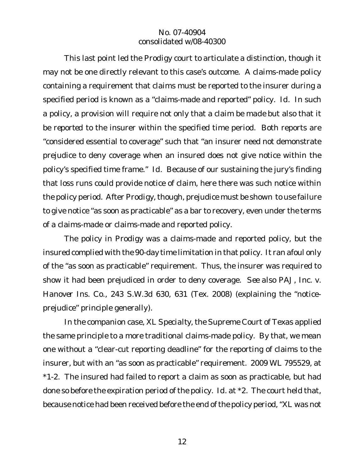This last point led the *Prodigy* court to articulate a distinction, though it may not be one directly relevant to this case's outcome. A claims-made policy containing a requirement that claims must be reported to the insurer during a specified period is known as a "claims-made and reported" policy. *Id*. In such a policy, a provision will require not only that a claim be *made* but also that it be *reported* to the insurer within the specified time period. Both reports are "considered essential to coverage" such that "an insurer need not demonstrate prejudice to deny coverage when an insured does not give notice within the policy's specified time frame." *Id*. Because of our sustaining the jury's finding that loss runs could provide notice of claim, here there was such notice within the policy period. After *Prodigy*, though, prejudice must be shown to use failure to give notice "as soon as practicable" as a bar to recovery, even under the terms of a claims-made or claims-made and reported policy.

The policy in *Prodigy* was a claims-made and reported policy, but the insured complied with the 90-day time limitation in that policy. It ran afoul only of the "as soon as practicable" requirement. Thus, the insurer was required to show it had been prejudiced in order to deny coverage. *See also PAJ, Inc. v. Hanover Ins. Co.*, 243 S.W.3d 630, 631 (Tex. 2008) (explaining the "noticeprejudice" principle generally).

In the companion case, *XL Specialty*, the Supreme Court of Texas applied the same principle to a more traditional claims-made policy. By that, we mean one without a "clear-cut reporting deadline" for the reporting of claims to the insurer, but with an "as soon as practicable" requirement. 2009 WL 795529, at \*1-2. The insured had failed to report a claim as soon as practicable, but had done so before the expiration period of the policy. *Id*. at \*2. The court held that, because notice had been received before the end of the policy period, "XL was not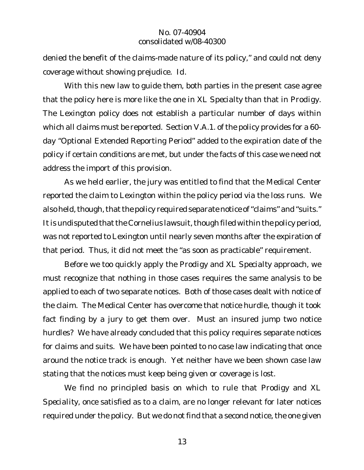denied the benefit of the claims-made nature of its policy," and could not deny coverage without showing prejudice. *Id*.

With this new law to guide them, both parties in the present case agree that the policy here is more like the one in *XL Specialty* than that in *Prodigy.* The Lexington policy does not establish a particular number of days within which all claims must be reported. Section V.A.1. of the policy provides for a 60 day "Optional Extended Reporting Period" added to the expiration date of the policy if certain conditions are met, but under the facts of this case we need not address the import of this provision.

As we held earlier, the jury was entitled to find that the Medical Center reported the claim to Lexington within the policy period via the loss runs. We also held, though, that the policy required separate notice of "claims" and "suits." It is undisputed that the Cornelius lawsuit, though filed within the policy period, was not reported to Lexington until nearly seven months after the expiration of that period. Thus, it did not meet the "as soon as practicable" requirement.

Before we too quickly apply the *Prodigy* and *XL Specialty* approach, we must recognize that nothing in those cases requires the same analysis to be applied to each of two separate notices. Both of those cases dealt with notice of the claim. The Medical Center has overcome that notice hurdle, though it took fact finding by a jury to get them over. Must an insured jump two notice hurdles? We have already concluded that this policy requires separate notices for claims and suits. We have been pointed to no case law indicating that once around the notice track is enough. Yet neither have we been shown case law stating that the notices must keep being given or coverage is lost.

We find no principled basis on which to rule that *Prodigy* and *XL Speciality*, once satisfied as to a claim, are no longer relevant for later notices required under the policy. But we do not find that a second notice, the one given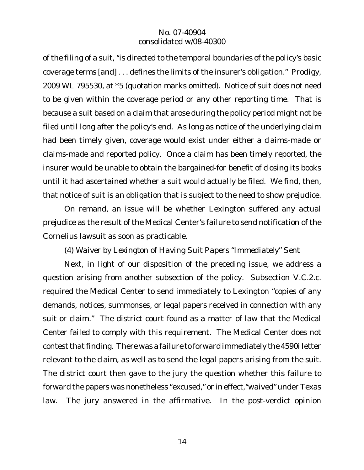of the filing of a suit, "is directed to the temporal boundaries of the policy's basic coverage terms [and] . . . defines the limits of the insurer's obligation." *Prodigy,* 2009 WL 795530, at \*5 (quotation marks omitted). Notice of suit does not need to be given within the coverage period or any other reporting time. That is because a suit based on a claim that arose during the policy period might not be filed until long after the policy's end. As long as notice of the underlying claim had been timely given, coverage would exist under either a claims-made or claims-made and reported policy. Once a claim has been timely reported, the insurer would be unable to obtain the bargained-for benefit of closing its books until it had ascertained whether a suit would actually be filed. We find, then, that notice of suit is an obligation that is subject to the need to show prejudice.

On remand, an issue will be whether Lexington suffered any actual prejudice as the result of the Medical Center's failure to send notification of the Cornelius lawsuit as soon as practicable.

*(4) Waiver by Lexington of Having Suit Papers "Immediately" Sent*

Next, in light of our disposition of the preceding issue, we address a question arising from another subsection of the policy. Subsection V.C.2.c. required the Medical Center to send immediately to Lexington "copies of any demands, notices, summonses, or legal papers received in connection with any suit or claim." The district court found as a matter of law that the Medical Center failed to comply with this requirement. The Medical Center does not contest that finding. There was a failure to forward immediately the 4590 letter relevant to the claim, as well as to send the legal papers arising from the suit. The district court then gave to the jury the question whether this failure to forward the papers was nonetheless "excused," or in effect,"waived" under Texas law. The jury answered in the affirmative. In the post-verdict opinion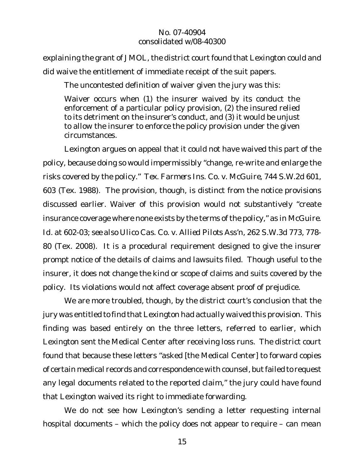explaining the grant of JMOL, the district court found that Lexington could and did waive the entitlement of immediate receipt of the suit papers.

The uncontested definition of waiver given the jury was this:

Waiver occurs when (1) the insurer waived by its conduct the enforcement of a particular policy provision, (2) the insured relied to its detriment on the insurer's conduct, and (3) it would be unjust to allow the insurer to enforce the policy provision under the given circumstances.

Lexington argues on appeal that it could not have waived this part of the policy, because doing so would impermissibly "change, re-write and enlarge the risks covered by the policy." *Tex. Farmers Ins. Co. v. McGuire*, 744 S.W.2d 601, 603 (Tex. 1988). The provision, though, is distinct from the notice provisions discussed earlier. Waiver of this provision would not substantively "create insurance coverage where none exists by the terms of the policy," as in *McGuire*. *Id*. at 602-03; *see also Ulico Cas. Co. v. Allied Pilots Ass'n*, 262 S.W.3d 773, 778- 80 (Tex. 2008). It is a procedural requirement designed to give the insurer prompt notice of the details of claims and lawsuits filed. Though useful to the insurer, it does not change the kind or scope of claims and suits covered by the policy. Its violations would not affect coverage absent proof of prejudice.

We are more troubled, though, by the district court's conclusion that the jury was entitled to find that Lexington had actually waived this provision. This finding was based entirely on the three letters, referred to earlier, which Lexington sent the Medical Center after receiving loss runs. The district court found that because these letters "asked [the Medical Center] to forward copies of certain medical records and correspondence with counsel, butfailed to request any legal documents related to the reported claim," the jury could have found that Lexington waived its right to immediate forwarding.

We do not see how Lexington's sending a letter requesting internal hospital documents – which the policy does not appear to require – can mean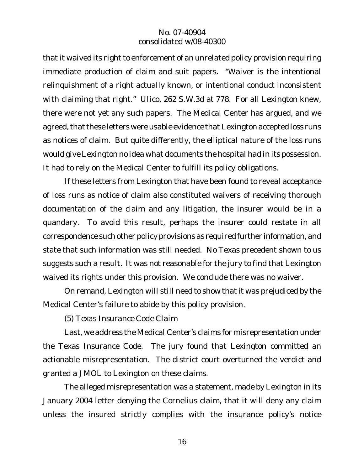that it waived its right to enforcement of an unrelated policy provision requiring immediate production of claim and suit papers. "Waiver is the intentional relinquishment of a right actually known, or intentional conduct inconsistent with claiming that right." *Ulico*, 262 S.W.3d at 778. For all Lexington knew, there were not yet any such papers. The Medical Center has argued, and we agreed, that these letters were usable evidence that Lexington accepted loss runs as notices of claim. But quite differently, the elliptical nature of the loss runs would give Lexington no idea what documents the hospital had in its possession. It had to rely on the Medical Center to fulfill its policy obligations.

If these letters from Lexington that have been found to reveal acceptance of loss runs as notice of claim also constituted waivers of receiving thorough documentation of the claim and any litigation, the insurer would be in a quandary. To avoid this result, perhaps the insurer could restate in all correspondence such other policy provisions as required further information, and state that such information was still needed. No Texas precedent shown to us suggests such a result. It was not reasonable for the jury to find that Lexington waived its rights under this provision. We conclude there was no waiver.

On remand, Lexington will still need to show that it was prejudiced by the Medical Center's failure to abide by this policy provision.

*(5) Texas Insurance Code Claim*

Last, we address the Medical Center's claims for misrepresentation under the Texas Insurance Code. The jury found that Lexington committed an actionable misrepresentation. The district court overturned the verdict and granted a JMOL to Lexington on these claims.

The alleged misrepresentation was a statement, made by Lexington in its January 2004 letter denying the Cornelius claim, that it will deny any claim unless the insured strictly complies with the insurance policy's notice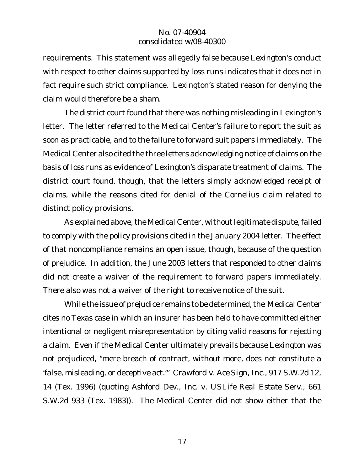requirements. This statement was allegedly false because Lexington's conduct with respect to other claims supported by loss runs indicates that it does not in fact require such strict compliance. Lexington's stated reason for denying the claim would therefore be a sham.

The district court found that there was nothing misleading in Lexington's letter. The letter referred to the Medical Center's failure to report the suit as soon as practicable, and to the failure to forward suit papers immediately. The Medical Center also cited the three letters acknowledging notice of claims on the basis of loss runs as evidence of Lexington's disparate treatment of claims. The district court found, though, that the letters simply acknowledged receipt of claims, while the reasons cited for denial of the Cornelius claim related to distinct policy provisions.

As explained above, the Medical Center, without legitimate dispute, failed to comply with the policy provisions cited in the January 2004 letter. The effect of that noncompliance remains an open issue, though, because of the question of prejudice. In addition, the June 2003 letters that responded to other claims did not create a waiver of the requirement to forward papers immediately. There also was not a waiver of the right to receive notice of the suit.

While the issue of prejudice remains to be determined, the Medical Center cites no Texas case in which an insurer has been held to have committed either intentional or negligent misrepresentation by citing valid reasons for rejecting a claim. Even if the Medical Center ultimately prevails because Lexington was not prejudiced, "mere breach of contract, without more, does not constitute a 'false, misleading, or deceptive act.'" *Crawford v. Ace Sign, Inc.*, 917 S.W.2d 12, 14 (Tex. 1996) (quoting *Ashford Dev., Inc. v. USLife Real Estate Serv.*, 661 S.W.2d 933 (Tex. 1983)). The Medical Center did not show either that the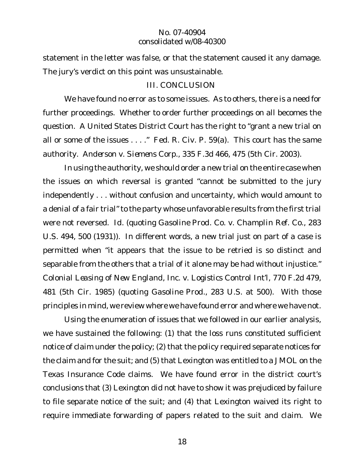statement in the letter was false, or that the statement caused it any damage. The jury's verdict on this point was unsustainable.

## III. CONCLUSION

We have found no error as to some issues. As to others, there is a need for further proceedings. Whether to order further proceedings on all becomes the question. A United States District Court has the right to "grant a new trial on all or some of the issues . . . ." Fed. R. Civ. P. 59(a). This court has the same authority. *Anderson v. Siemens Corp.*, 335 F.3d 466, 475 (5th Cir. 2003).

In using the authority, we should order a new trial on the entire case when the issues on which reversal is granted "cannot be submitted to the jury independently . . . without confusion and uncertainty, which would amount to a denial of a fair trial" to the party whose unfavorable results from the first trial were not reversed. *Id.* (quoting *Gasoline Prod. Co. v. Champlin Ref. Co.,* 283 U.S. 494, 500 (1931)). In different words, a new trial just on part of a case is permitted when "it appears that the issue to be retried is so distinct and separable from the others that a trial of it alone may be had without injustice." *Colonial Leasing of New England, Inc. v. Logistics Control Int'l,* 770 F.2d 479, 481 (5th Cir. 1985) (quoting *Gasoline Prod.*, 283 U.S. at 500). With those principles in mind, we review where we have found error and where we have not.

Using the enumeration of issues that we followed in our earlier analysis, we have sustained the following: (1) that the loss runs constituted sufficient notice of claim under the policy; (2) that the policy required separate notices for the claim and for the suit; and (5) that Lexington was entitled to a JMOL on the Texas Insurance Code claims. We have found error in the district court's conclusions that (3) Lexington did not have to show it was prejudiced by failure to file separate notice of the suit; and (4) that Lexington waived its right to require immediate forwarding of papers related to the suit and claim. We